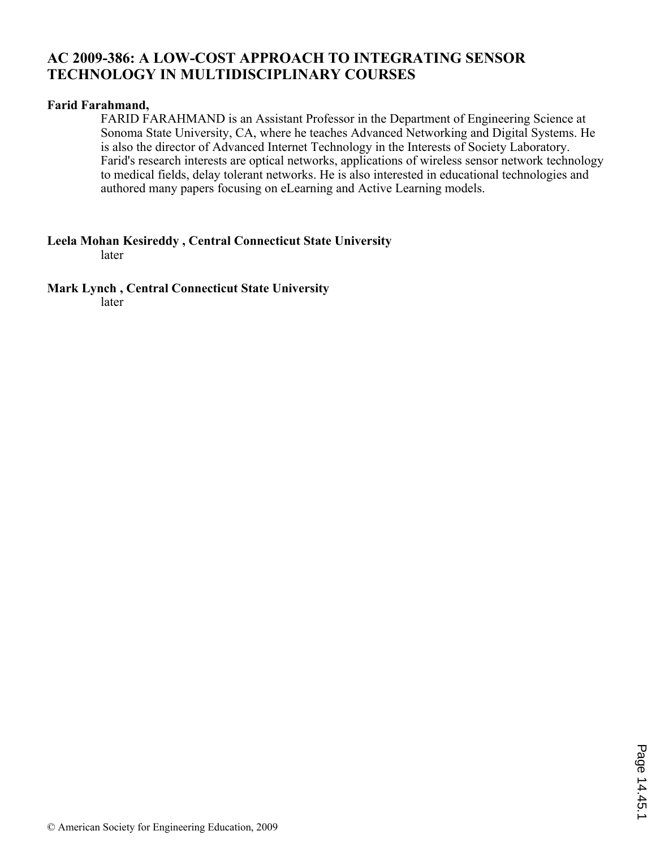## **AC 2009-386: A LOW-COST APPROACH TO INTEGRATING SENSOR TECHNOLOGY IN MULTIDISCIPLINARY COURSES**

#### **Farid Farahmand,**

FARID FARAHMAND is an Assistant Professor in the Department of Engineering Science at Sonoma State University, CA, where he teaches Advanced Networking and Digital Systems. He is also the director of Advanced Internet Technology in the Interests of Society Laboratory. Farid's research interests are optical networks, applications of wireless sensor network technology to medical fields, delay tolerant networks. He is also interested in educational technologies and authored many papers focusing on eLearning and Active Learning models.

**Leela Mohan Kesireddy , Central Connecticut State University** 

later

**Mark Lynch , Central Connecticut State University** 

later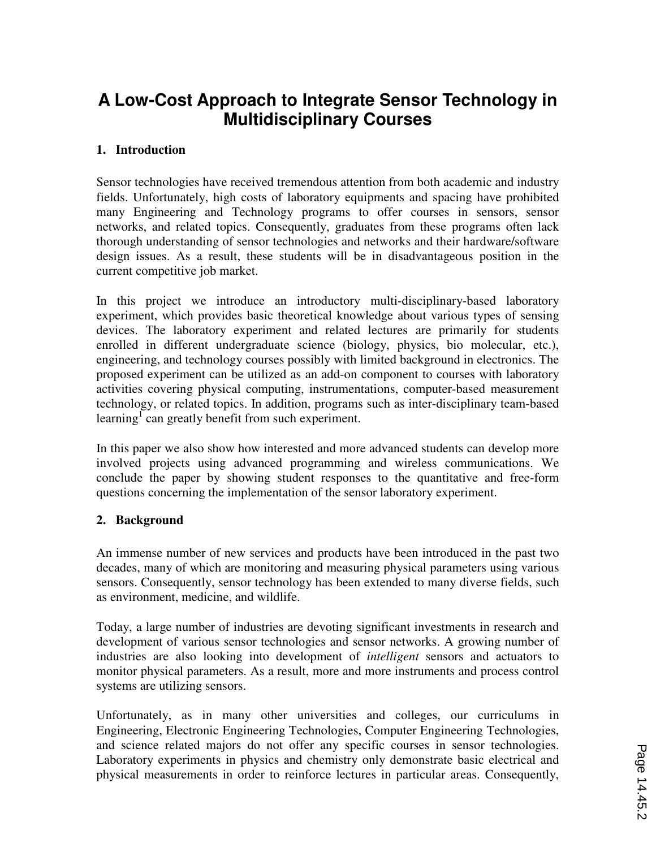# **A Low-Cost Approach to Integrate Sensor Technology in Multidisciplinary Courses**

### **1. Introduction**

Sensor technologies have received tremendous attention from both academic and industry fields. Unfortunately, high costs of laboratory equipments and spacing have prohibited many Engineering and Technology programs to offer courses in sensors, sensor networks, and related topics. Consequently, graduates from these programs often lack thorough understanding of sensor technologies and networks and their hardware/software design issues. As a result, these students will be in disadvantageous position in the current competitive job market.

In this project we introduce an introductory multi-disciplinary-based laboratory experiment, which provides basic theoretical knowledge about various types of sensing devices. The laboratory experiment and related lectures are primarily for students enrolled in different undergraduate science (biology, physics, bio molecular, etc.), engineering, and technology courses possibly with limited background in electronics. The proposed experiment can be utilized as an add-on component to courses with laboratory activities covering physical computing, instrumentations, computer-based measurement technology, or related topics. In addition, programs such as inter-disciplinary team-based learning<sup>1</sup> can greatly benefit from such experiment.

In this paper we also show how interested and more advanced students can develop more involved projects using advanced programming and wireless communications. We conclude the paper by showing student responses to the quantitative and free-form questions concerning the implementation of the sensor laboratory experiment.

#### **2. Background**

An immense number of new services and products have been introduced in the past two decades, many of which are monitoring and measuring physical parameters using various sensors. Consequently, sensor technology has been extended to many diverse fields, such as environment, medicine, and wildlife.

Today, a large number of industries are devoting significant investments in research and development of various sensor technologies and sensor networks. A growing number of industries are also looking into development of *intelligent* sensors and actuators to monitor physical parameters. As a result, more and more instruments and process control systems are utilizing sensors.

Unfortunately, as in many other universities and colleges, our curriculums in Engineering, Electronic Engineering Technologies, Computer Engineering Technologies, and science related majors do not offer any specific courses in sensor technologies. Laboratory experiments in physics and chemistry only demonstrate basic electrical and physical measurements in order to reinforce lectures in particular areas. Consequently,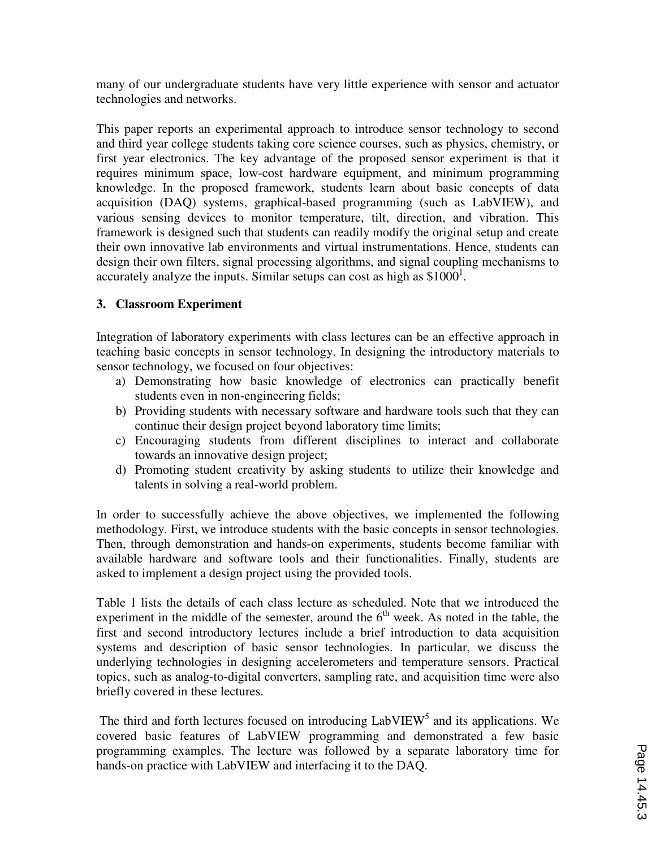many of our undergraduate students have very little experience with sensor and actuator technologies and networks.

This paper reports an experimental approach to introduce sensor technology to second and third year college students taking core science courses, such as physics, chemistry, or first year electronics. The key advantage of the proposed sensor experiment is that it requires minimum space, low-cost hardware equipment, and minimum programming knowledge. In the proposed framework, students learn about basic concepts of data acquisition (DAQ) systems, graphical-based programming (such as LabVIEW), and various sensing devices to monitor temperature, tilt, direction, and vibration. This framework is designed such that students can readily modify the original setup and create their own innovative lab environments and virtual instrumentations. Hence, students can design their own filters, signal processing algorithms, and signal coupling mechanisms to accurately analyze the inputs. Similar setups can cost as high as  $$1000<sup>1</sup>$ .

## **3. Classroom Experiment**

Integration of laboratory experiments with class lectures can be an effective approach in teaching basic concepts in sensor technology. In designing the introductory materials to sensor technology, we focused on four objectives:

- a) Demonstrating how basic knowledge of electronics can practically benefit students even in non-engineering fields;
- b) Providing students with necessary software and hardware tools such that they can continue their design project beyond laboratory time limits;
- c) Encouraging students from different disciplines to interact and collaborate towards an innovative design project;
- d) Promoting student creativity by asking students to utilize their knowledge and talents in solving a real-world problem.

In order to successfully achieve the above objectives, we implemented the following methodology. First, we introduce students with the basic concepts in sensor technologies. Then, through demonstration and hands-on experiments, students become familiar with available hardware and software tools and their functionalities. Finally, students are asked to implement a design project using the provided tools.

Table 1 lists the details of each class lecture as scheduled. Note that we introduced the experiment in the middle of the semester, around the  $6<sup>th</sup>$  week. As noted in the table, the first and second introductory lectures include a brief introduction to data acquisition systems and description of basic sensor technologies. In particular, we discuss the underlying technologies in designing accelerometers and temperature sensors. Practical topics, such as analog-to-digital converters, sampling rate, and acquisition time were also briefly covered in these lectures.

The third and forth lectures focused on introducing LabVIEW<sup>5</sup> and its applications. We covered basic features of LabVIEW programming and demonstrated a few basic programming examples. The lecture was followed by a separate laboratory time for hands-on practice with LabVIEW and interfacing it to the DAQ.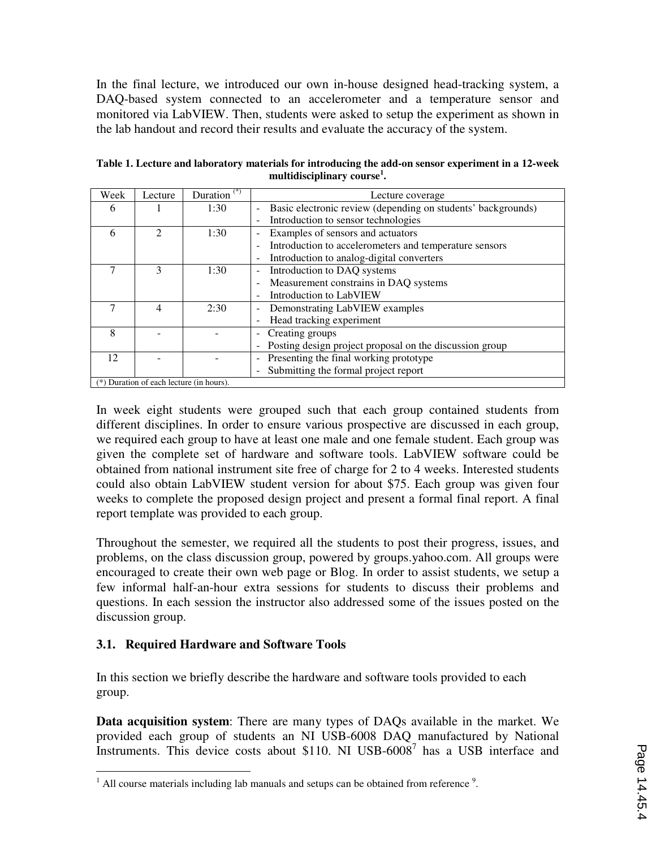In the final lecture, we introduced our own in-house designed head-tracking system, a DAQ-based system connected to an accelerometer and a temperature sensor and monitored via LabVIEW. Then, students were asked to setup the experiment as shown in the lab handout and record their results and evaluate the accuracy of the system.

| Week | Lecture                                    | Duration <sup>(*)</sup> | Lecture coverage                                                                             |  |  |
|------|--------------------------------------------|-------------------------|----------------------------------------------------------------------------------------------|--|--|
| 6    |                                            | 1:30                    | Basic electronic review (depending on students' backgrounds)<br>$\qquad \qquad \blacksquare$ |  |  |
|      |                                            |                         | Introduction to sensor technologies<br>$\overline{\phantom{a}}$                              |  |  |
| 6    | $\mathfrak{D}$                             | 1:30                    | Examples of sensors and actuators<br>$\overline{a}$                                          |  |  |
|      |                                            |                         | Introduction to accelerometers and temperature sensors<br>٠                                  |  |  |
|      |                                            |                         | Introduction to analog-digital converters<br>٠                                               |  |  |
|      | 3                                          | 1:30                    | Introduction to DAQ systems<br>÷                                                             |  |  |
|      |                                            |                         | Measurement constrains in DAQ systems                                                        |  |  |
|      |                                            |                         | Introduction to LabVIEW                                                                      |  |  |
| 7    | 4                                          | 2:30                    | Demonstrating LabVIEW examples                                                               |  |  |
|      |                                            |                         | Head tracking experiment                                                                     |  |  |
| 8    |                                            |                         | Creating groups<br>-                                                                         |  |  |
|      |                                            |                         | Posting design project proposal on the discussion group<br>$\overline{a}$                    |  |  |
| 12   |                                            |                         | Presenting the final working prototype<br>$\overline{\phantom{0}}$                           |  |  |
|      |                                            |                         | Submitting the formal project report<br>$\overline{\phantom{0}}$                             |  |  |
|      | $(*)$ Duration of each lecture (in hours). |                         |                                                                                              |  |  |

**Table 1. Lecture and laboratory materials for introducing the add-on sensor experiment in a 12-week multidisciplinary course<sup>1</sup> .** 

In week eight students were grouped such that each group contained students from different disciplines. In order to ensure various prospective are discussed in each group, we required each group to have at least one male and one female student. Each group was given the complete set of hardware and software tools. LabVIEW software could be obtained from national instrument site free of charge for 2 to 4 weeks. Interested students could also obtain LabVIEW student version for about \$75. Each group was given four weeks to complete the proposed design project and present a formal final report. A final report template was provided to each group.

Throughout the semester, we required all the students to post their progress, issues, and problems, on the class discussion group, powered by groups.yahoo.com. All groups were encouraged to create their own web page or Blog. In order to assist students, we setup a few informal half-an-hour extra sessions for students to discuss their problems and questions. In each session the instructor also addressed some of the issues posted on the discussion group.

## **3.1. Required Hardware and Software Tools**

In this section we briefly describe the hardware and software tools provided to each group.

**Data acquisition system**: There are many types of DAQs available in the market. We provided each group of students an NI USB-6008 DAQ manufactured by National Instruments. This device costs about \$110. NI USB-6008<sup>7</sup> has a USB interface and

 $\overline{a}$  $<sup>1</sup>$  All course materials including lab manuals and setups can be obtained from reference  $<sup>9</sup>$ .</sup></sup>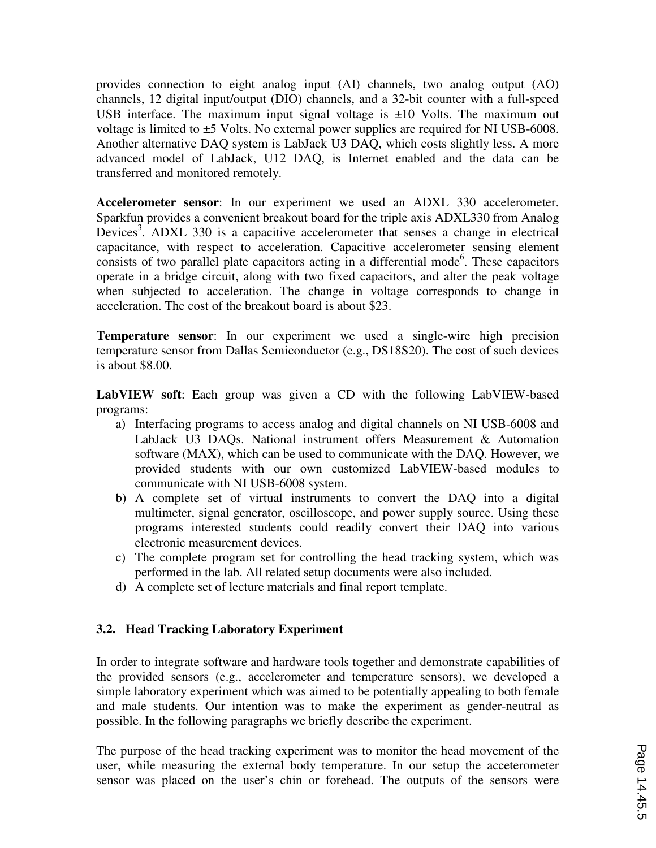provides connection to eight analog input (AI) channels, two analog output (AO) channels, 12 digital input/output (DIO) channels, and a 32-bit counter with a full-speed USB interface. The maximum input signal voltage is  $\pm 10$  Volts. The maximum out voltage is limited to ±5 Volts. No external power supplies are required for NI USB-6008. Another alternative DAQ system is LabJack U3 DAQ, which costs slightly less. A more advanced model of LabJack, U12 DAQ, is Internet enabled and the data can be transferred and monitored remotely.

**Accelerometer sensor**: In our experiment we used an ADXL 330 accelerometer. Sparkfun provides a convenient breakout board for the triple axis ADXL330 from Analog Devices<sup>3</sup>. ADXL 330 is a capacitive accelerometer that senses a change in electrical capacitance, with respect to acceleration. Capacitive accelerometer sensing element consists of two parallel plate capacitors acting in a differential mode<sup>6</sup>. These capacitors operate in a bridge circuit, along with two fixed capacitors, and alter the peak voltage when subjected to acceleration. The change in voltage corresponds to change in acceleration. The cost of the breakout board is about \$23.

**Temperature sensor**: In our experiment we used a single-wire high precision temperature sensor from Dallas Semiconductor (e.g., DS18S20). The cost of such devices is about \$8.00.

**LabVIEW soft**: Each group was given a CD with the following LabVIEW-based programs:

- a) Interfacing programs to access analog and digital channels on NI USB-6008 and LabJack U3 DAQs. National instrument offers Measurement & Automation software (MAX), which can be used to communicate with the DAQ. However, we provided students with our own customized LabVIEW-based modules to communicate with NI USB-6008 system.
- b) A complete set of virtual instruments to convert the DAQ into a digital multimeter, signal generator, oscilloscope, and power supply source. Using these programs interested students could readily convert their DAQ into various electronic measurement devices.
- c) The complete program set for controlling the head tracking system, which was performed in the lab. All related setup documents were also included.
- d) A complete set of lecture materials and final report template.

#### **3.2. Head Tracking Laboratory Experiment**

In order to integrate software and hardware tools together and demonstrate capabilities of the provided sensors (e.g., accelerometer and temperature sensors), we developed a simple laboratory experiment which was aimed to be potentially appealing to both female and male students. Our intention was to make the experiment as gender-neutral as possible. In the following paragraphs we briefly describe the experiment.

The purpose of the head tracking experiment was to monitor the head movement of the user, while measuring the external body temperature. In our setup the acceterometer sensor was placed on the user's chin or forehead. The outputs of the sensors were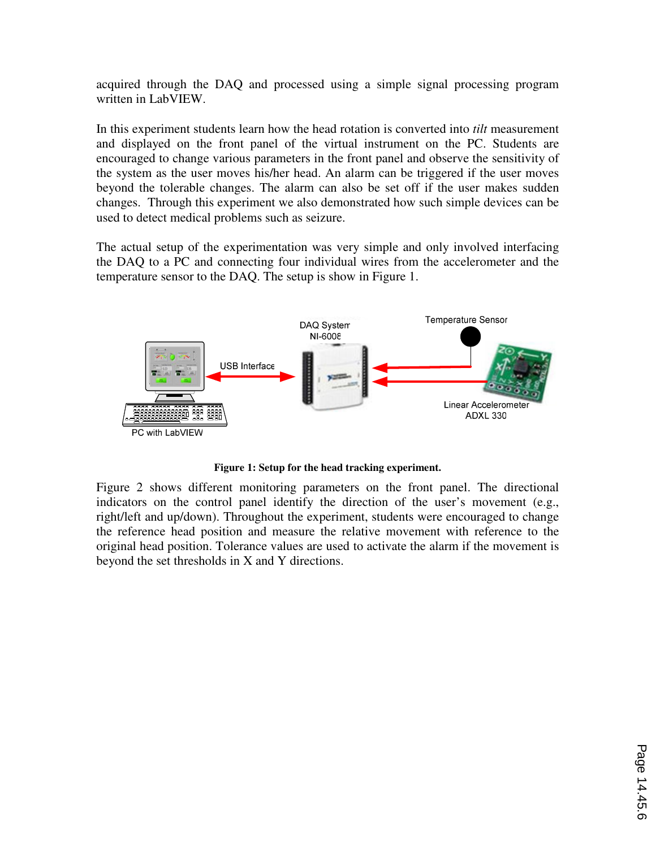acquired through the DAQ and processed using a simple signal processing program written in LabVIEW.

In this experiment students learn how the head rotation is converted into *tilt* measurement and displayed on the front panel of the virtual instrument on the PC. Students are encouraged to change various parameters in the front panel and observe the sensitivity of the system as the user moves his/her head. An alarm can be triggered if the user moves beyond the tolerable changes. The alarm can also be set off if the user makes sudden changes. Through this experiment we also demonstrated how such simple devices can be used to detect medical problems such as seizure.

The actual setup of the experimentation was very simple and only involved interfacing the DAQ to a PC and connecting four individual wires from the accelerometer and the temperature sensor to the DAQ. The setup is show in Figure 1.



**Figure 1: Setup for the head tracking experiment.** 

Figure 2 shows different monitoring parameters on the front panel. The directional indicators on the control panel identify the direction of the user's movement (e.g., right/left and up/down). Throughout the experiment, students were encouraged to change the reference head position and measure the relative movement with reference to the original head position. Tolerance values are used to activate the alarm if the movement is beyond the set thresholds in X and Y directions.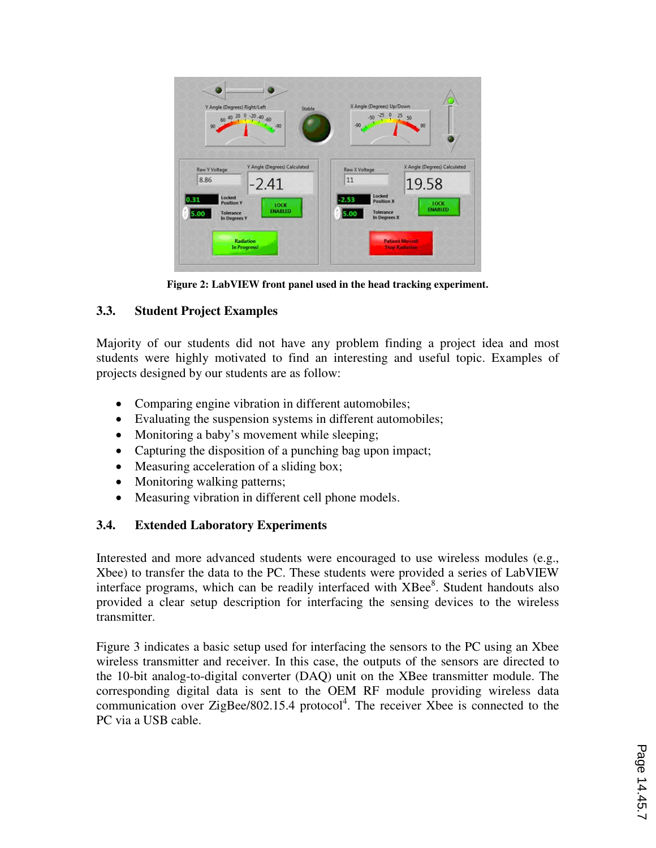

**Figure 2: LabVIEW front panel used in the head tracking experiment.** 

## **3.3. Student Project Examples**

Majority of our students did not have any problem finding a project idea and most students were highly motivated to find an interesting and useful topic. Examples of projects designed by our students are as follow:

- Comparing engine vibration in different automobiles;
- Evaluating the suspension systems in different automobiles;
- Monitoring a baby's movement while sleeping;
- Capturing the disposition of a punching bag upon impact;
- Measuring acceleration of a sliding box:
- Monitoring walking patterns;
- Measuring vibration in different cell phone models.

# **3.4. Extended Laboratory Experiments**

Interested and more advanced students were encouraged to use wireless modules (e.g., Xbee) to transfer the data to the PC. These students were provided a series of LabVIEW interface programs, which can be readily interfaced with XBee<sup>8</sup>. Student handouts also provided a clear setup description for interfacing the sensing devices to the wireless transmitter.

Figure 3 indicates a basic setup used for interfacing the sensors to the PC using an Xbee wireless transmitter and receiver. In this case, the outputs of the sensors are directed to the 10-bit analog-to-digital converter (DAQ) unit on the XBee transmitter module. The corresponding digital data is sent to the OEM RF module providing wireless data communication over ZigBee/802.15.4 protocol<sup>4</sup>. The receiver Xbee is connected to the PC via a USB cable.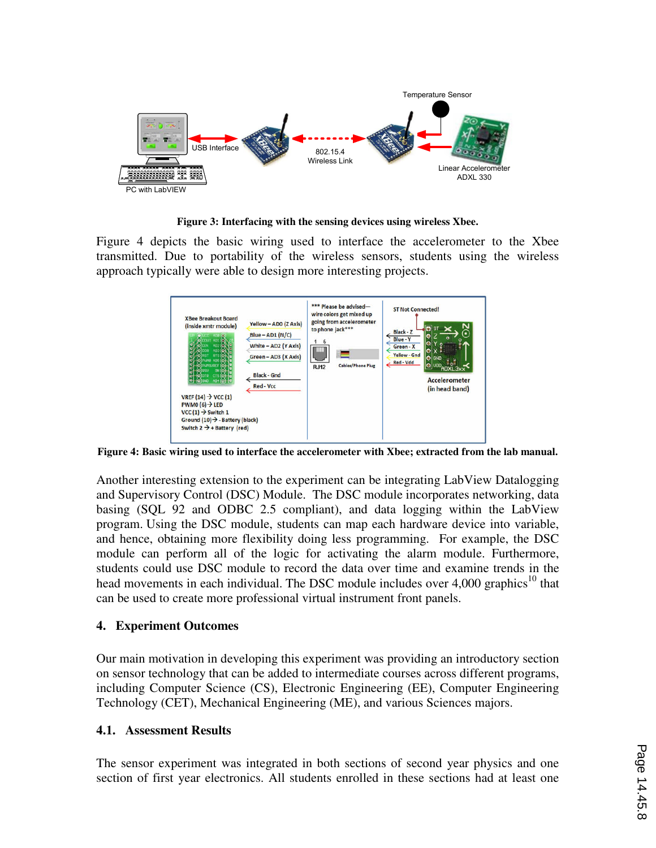

**Figure 3: Interfacing with the sensing devices using wireless Xbee.** 

Figure 4 depicts the basic wiring used to interface the accelerometer to the Xbee transmitted. Due to portability of the wireless sensors, students using the wireless approach typically were able to design more interesting projects.



**Figure 4: Basic wiring used to interface the accelerometer with Xbee; extracted from the lab manual.** 

Another interesting extension to the experiment can be integrating LabView Datalogging and Supervisory Control (DSC) Module. The DSC module incorporates networking, data basing (SQL 92 and ODBC 2.5 compliant), and data logging within the LabView program. Using the DSC module, students can map each hardware device into variable, and hence, obtaining more flexibility doing less programming. For example, the DSC module can perform all of the logic for activating the alarm module. Furthermore, students could use DSC module to record the data over time and examine trends in the head movements in each individual. The DSC module includes over  $4,000$  graphics<sup>10</sup> that can be used to create more professional virtual instrument front panels.

#### **4. Experiment Outcomes**

Our main motivation in developing this experiment was providing an introductory section on sensor technology that can be added to intermediate courses across different programs, including Computer Science (CS), Electronic Engineering (EE), Computer Engineering Technology (CET), Mechanical Engineering (ME), and various Sciences majors.

#### **4.1. Assessment Results**

The sensor experiment was integrated in both sections of second year physics and one section of first year electronics. All students enrolled in these sections had at least one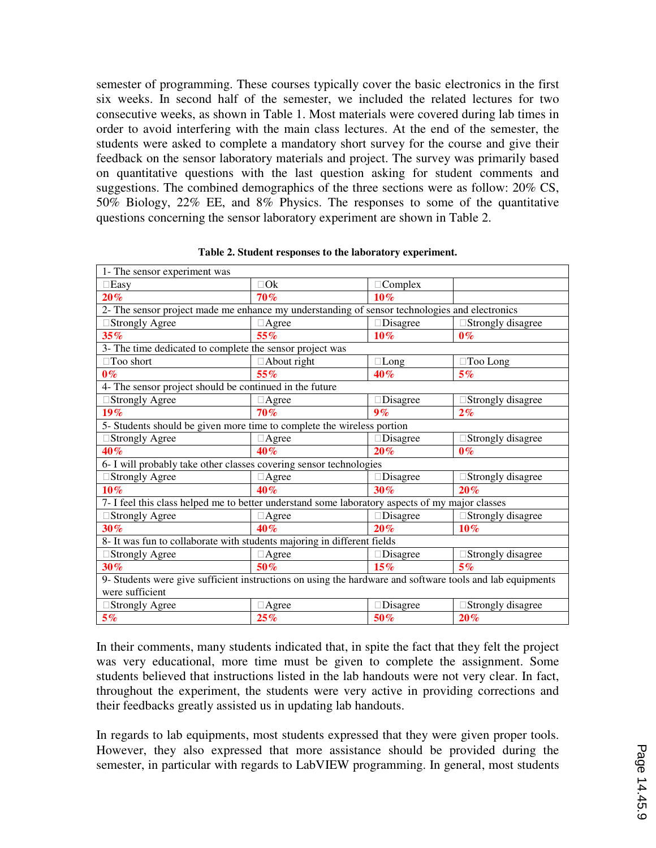semester of programming. These courses typically cover the basic electronics in the first six weeks. In second half of the semester, we included the related lectures for two consecutive weeks, as shown in Table 1. Most materials were covered during lab times in order to avoid interfering with the main class lectures. At the end of the semester, the students were asked to complete a mandatory short survey for the course and give their feedback on the sensor laboratory materials and project. The survey was primarily based on quantitative questions with the last question asking for student comments and suggestions. The combined demographics of the three sections were as follow: 20% CS, 50% Biology, 22% EE, and 8% Physics. The responses to some of the quantitative questions concerning the sensor laboratory experiment are shown in Table 2.

| 1- The sensor experiment was                                                                              |             |          |                   |  |  |  |  |
|-----------------------------------------------------------------------------------------------------------|-------------|----------|-------------------|--|--|--|--|
| Easy                                                                                                      | Ok          | Complex  |                   |  |  |  |  |
| $20\%$                                                                                                    | 70%         | $10\%$   |                   |  |  |  |  |
| 2- The sensor project made me enhance my understanding of sensor technologies and electronics             |             |          |                   |  |  |  |  |
| <b>Strongly Agree</b>                                                                                     | Agree       | Disagree | Strongly disagree |  |  |  |  |
| 35%                                                                                                       | 55%         | 10%      | $0\%$             |  |  |  |  |
| 3- The time dedicated to complete the sensor project was                                                  |             |          |                   |  |  |  |  |
| Too short                                                                                                 | About right | Long     | Too Long          |  |  |  |  |
| $0\%$                                                                                                     | 55%         | 40%      | 5%                |  |  |  |  |
| 4- The sensor project should be continued in the future                                                   |             |          |                   |  |  |  |  |
| <b>Strongly Agree</b>                                                                                     | Agree       | Disagree | Strongly disagree |  |  |  |  |
| 19%                                                                                                       | 70%         | 9%       | 2%                |  |  |  |  |
| 5- Students should be given more time to complete the wireless portion                                    |             |          |                   |  |  |  |  |
| <b>Strongly Agree</b>                                                                                     | Agree       | Disagree | Strongly disagree |  |  |  |  |
| 40%                                                                                                       | 40%         | 20%      | $0\%$             |  |  |  |  |
| 6- I will probably take other classes covering sensor technologies                                        |             |          |                   |  |  |  |  |
| <b>Strongly Agree</b>                                                                                     | Agree       | Disagree | Strongly disagree |  |  |  |  |
| $10\%$                                                                                                    | 40%         | 30%      | 20%               |  |  |  |  |
| 7- I feel this class helped me to better understand some laboratory aspects of my major classes           |             |          |                   |  |  |  |  |
| <b>Strongly Agree</b>                                                                                     | Agree       | Disagree | Strongly disagree |  |  |  |  |
| 30%                                                                                                       | 40%         | 20%      | $10\%$            |  |  |  |  |
| 8- It was fun to collaborate with students majoring in different fields                                   |             |          |                   |  |  |  |  |
| <b>Strongly Agree</b>                                                                                     | Agree       | Disagree | Strongly disagree |  |  |  |  |
| 30%                                                                                                       | 50%         | 15%      | 5%                |  |  |  |  |
| 9- Students were give sufficient instructions on using the hardware and software tools and lab equipments |             |          |                   |  |  |  |  |
| were sufficient                                                                                           |             |          |                   |  |  |  |  |
| <b>Strongly Agree</b>                                                                                     | Agree       | Disagree | Strongly disagree |  |  |  |  |
| 5%                                                                                                        | 25%         | 50%      | 20%               |  |  |  |  |

**Table 2. Student responses to the laboratory experiment.** 

In their comments, many students indicated that, in spite the fact that they felt the project was very educational, more time must be given to complete the assignment. Some students believed that instructions listed in the lab handouts were not very clear. In fact, throughout the experiment, the students were very active in providing corrections and their feedbacks greatly assisted us in updating lab handouts.

In regards to lab equipments, most students expressed that they were given proper tools. However, they also expressed that more assistance should be provided during the semester, in particular with regards to LabVIEW programming. In general, most students